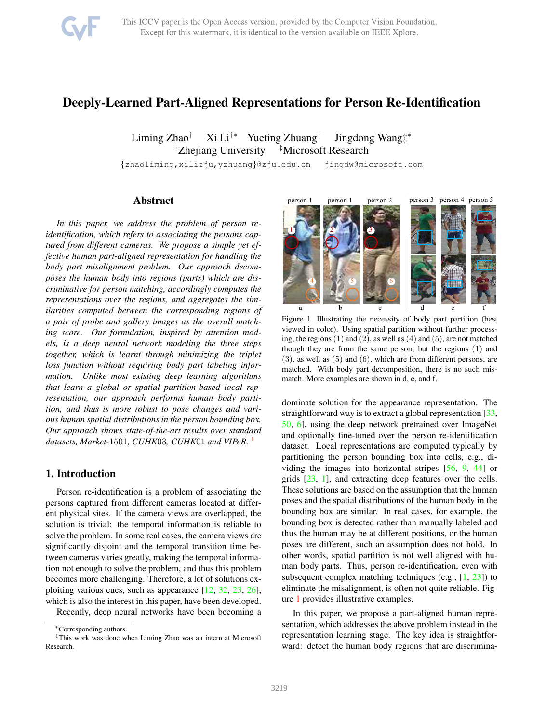

# Deeply-Learned Part-Aligned Representations for Person Re-Identification

Liming Zhao† Xi Li†∗ Yueting Zhuang† Jingdong Wang‡ ∗ †Zhejiang University ‡Microsoft Research

{zhaoliming,xilizju,yzhuang}@zju.edu.cn jingdw@microsoft.com

# Abstract

*In this paper, we address the problem of person reidentification, which refers to associating the persons captured from different cameras. We propose a simple yet effective human part-aligned representation for handling the body part misalignment problem. Our approach decomposes the human body into regions (parts) which are discriminative for person matching, accordingly computes the representations over the regions, and aggregates the similarities computed between the corresponding regions of a pair of probe and gallery images as the overall matching score. Our formulation, inspired by attention models, is a deep neural network modeling the three steps together, which is learnt through minimizing the triplet loss function without requiring body part labeling information. Unlike most existing deep learning algorithms that learn a global or spatial partition-based local representation, our approach performs human body partition, and thus is more robust to pose changes and various human spatial distributions in the person bounding box. Our approach shows state-of-the-art results over standard datasets, Market-*1501*, CUHK*03*, CUHK*01 *and VIPeR.* [1](#page-0-0)

# 1. Introduction

Person re-identification is a problem of associating the persons captured from different cameras located at different physical sites. If the camera views are overlapped, the solution is trivial: the temporal information is reliable to solve the problem. In some real cases, the camera views are significantly disjoint and the temporal transition time between cameras varies greatly, making the temporal information not enough to solve the problem, and thus this problem becomes more challenging. Therefore, a lot of solutions exploiting various cues, such as appearance [\[12,](#page-8-0) [32,](#page-8-1) [23,](#page-8-2) [26\]](#page-8-3), which is also the interest in this paper, have been developed.

Recently, deep neural networks have been becoming a



Figure 1. Illustrating the necessity of body part partition (best viewed in color). Using spatial partition without further processing, the regions  $(1)$  and  $(2)$ , as well as  $(4)$  and  $(5)$ , are not matched though they are from the same person; but the regions (1) and (3), as well as (5) and (6), which are from different persons, are matched. With body part decomposition, there is no such mismatch. More examples are shown in d, e, and f.

<span id="page-0-1"></span>dominate solution for the appearance representation. The straightforward way is to extract a global representation [\[33,](#page-8-4) [50,](#page-9-0) [6\]](#page-8-5), using the deep network pretrained over ImageNet and optionally fine-tuned over the person re-identification dataset. Local representations are computed typically by partitioning the person bounding box into cells, e.g., dividing the images into horizontal stripes [\[56,](#page-9-1) [9,](#page-8-6) [44\]](#page-9-2) or grids [\[23,](#page-8-2) [1\]](#page-8-7), and extracting deep features over the cells. These solutions are based on the assumption that the human poses and the spatial distributions of the human body in the bounding box are similar. In real cases, for example, the bounding box is detected rather than manually labeled and thus the human may be at different positions, or the human poses are different, such an assumption does not hold. In other words, spatial partition is not well aligned with human body parts. Thus, person re-identification, even with subsequent complex matching techniques (e.g.,  $[1, 23]$  $[1, 23]$  $[1, 23]$ ) to eliminate the misalignment, is often not quite reliable. Figure [1](#page-0-1) provides illustrative examples.

In this paper, we propose a part-aligned human representation, which addresses the above problem instead in the representation learning stage. The key idea is straightforward: detect the human body regions that are discrimina-

<span id="page-0-0"></span><sup>∗</sup>Corresponding authors.

<sup>&</sup>lt;sup>1</sup>This work was done when Liming Zhao was an intern at Microsoft Research.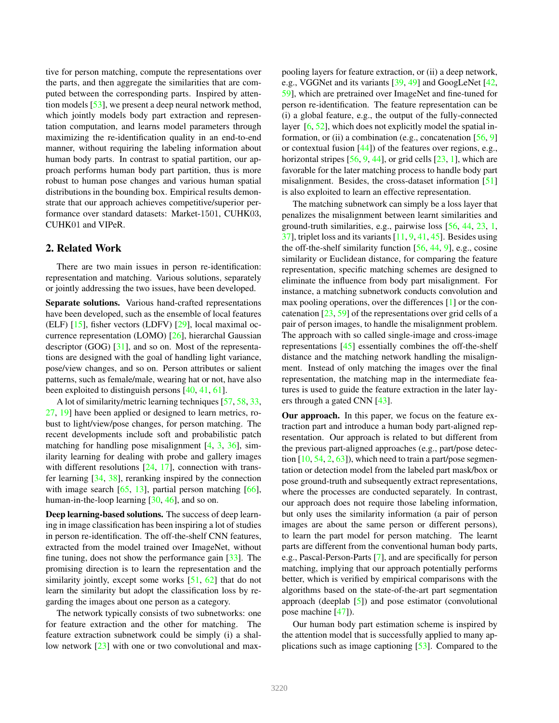tive for person matching, compute the representations over the parts, and then aggregate the similarities that are computed between the corresponding parts. Inspired by attention models [\[53\]](#page-9-3), we present a deep neural network method, which jointly models body part extraction and representation computation, and learns model parameters through maximizing the re-identification quality in an end-to-end manner, without requiring the labeling information about human body parts. In contrast to spatial partition, our approach performs human body part partition, thus is more robust to human pose changes and various human spatial distributions in the bounding box. Empirical results demonstrate that our approach achieves competitive/superior performance over standard datasets: Market-1501, CUHK03, CUHK01 and VIPeR.

### 2. Related Work

There are two main issues in person re-identification: representation and matching. Various solutions, separately or jointly addressing the two issues, have been developed.

Separate solutions. Various hand-crafted representations have been developed, such as the ensemble of local features (ELF) [\[15\]](#page-8-8), fisher vectors (LDFV) [\[29\]](#page-8-9), local maximal occurrence representation (LOMO) [\[26\]](#page-8-3), hierarchal Gaussian descriptor (GOG) [\[31\]](#page-8-10), and so on. Most of the representations are designed with the goal of handling light variance, pose/view changes, and so on. Person attributes or salient patterns, such as female/male, wearing hat or not, have also been exploited to distinguish persons [\[40,](#page-9-4) [41,](#page-9-5) [61\]](#page-9-6).

A lot of similarity/metric learning techniques [\[57,](#page-9-7) [58,](#page-9-8) [33,](#page-8-4) [27,](#page-8-11) [19\]](#page-8-12) have been applied or designed to learn metrics, robust to light/view/pose changes, for person matching. The recent developments include soft and probabilistic patch matching for handling pose misalignment  $[4, 3, 36]$  $[4, 3, 36]$  $[4, 3, 36]$  $[4, 3, 36]$ , similarity learning for dealing with probe and gallery images with different resolutions  $[24, 17]$  $[24, 17]$  $[24, 17]$ , connection with transfer learning [\[34,](#page-8-18) [38\]](#page-9-9), reranking inspired by the connection with image search  $[65, 13]$  $[65, 13]$  $[65, 13]$ , partial person matching  $[66]$ , human-in-the-loop learning [\[30,](#page-8-20) [46\]](#page-9-12), and so on.

Deep learning-based solutions. The success of deep learning in image classification has been inspiring a lot of studies in person re-identification. The off-the-shelf CNN features, extracted from the model trained over ImageNet, without fine tuning, does not show the performance gain [\[33\]](#page-8-4). The promising direction is to learn the representation and the similarity jointly, except some works  $[51, 62]$  $[51, 62]$  $[51, 62]$  that do not learn the similarity but adopt the classification loss by regarding the images about one person as a category.

The network typically consists of two subnetworks: one for feature extraction and the other for matching. The feature extraction subnetwork could be simply (i) a shal-low network [\[23\]](#page-8-2) with one or two convolutional and maxpooling layers for feature extraction, or (ii) a deep network, e.g., VGGNet and its variants [\[39,](#page-9-15) [49\]](#page-9-16) and GoogLeNet [\[42,](#page-9-17) [59\]](#page-9-18), which are pretrained over ImageNet and fine-tuned for person re-identification. The feature representation can be (i) a global feature, e.g., the output of the fully-connected layer [\[6,](#page-8-5) [52\]](#page-9-19), which does not explicitly model the spatial information, or (ii) a combination (e.g., concatenation  $[56, 9]$  $[56, 9]$ or contextual fusion [\[44\]](#page-9-2)) of the features over regions, e.g., horizontal stripes  $[56, 9, 44]$  $[56, 9, 44]$  $[56, 9, 44]$  $[56, 9, 44]$ , or grid cells  $[23, 1]$  $[23, 1]$ , which are favorable for the later matching process to handle body part misalignment. Besides, the cross-dataset information [\[51\]](#page-9-13) is also exploited to learn an effective representation.

The matching subnetwork can simply be a loss layer that penalizes the misalignment between learnt similarities and ground-truth similarities, e.g., pairwise loss [\[56,](#page-9-1) [44,](#page-9-2) [23,](#page-8-2) [1,](#page-8-7) [37\]](#page-8-21), triplet loss and its variants [\[11,](#page-8-22) [9,](#page-8-6) [41,](#page-9-5) [45\]](#page-9-20). Besides using the off-the-shelf similarity function [\[56,](#page-9-1) [44,](#page-9-2) [9\]](#page-8-6), e.g., cosine similarity or Euclidean distance, for comparing the feature representation, specific matching schemes are designed to eliminate the influence from body part misalignment. For instance, a matching subnetwork conducts convolution and max pooling operations, over the differences [\[1\]](#page-8-7) or the concatenation [\[23,](#page-8-2) [59\]](#page-9-18) of the representations over grid cells of a pair of person images, to handle the misalignment problem. The approach with so called single-image and cross-image representations [\[45\]](#page-9-20) essentially combines the off-the-shelf distance and the matching network handling the misalignment. Instead of only matching the images over the final representation, the matching map in the intermediate features is used to guide the feature extraction in the later layers through a gated CNN [\[43\]](#page-9-21).

Our approach. In this paper, we focus on the feature extraction part and introduce a human body part-aligned representation. Our approach is related to but different from the previous part-aligned approaches (e.g., part/pose detection  $[10, 54, 2, 63]$  $[10, 54, 2, 63]$  $[10, 54, 2, 63]$  $[10, 54, 2, 63]$  $[10, 54, 2, 63]$  $[10, 54, 2, 63]$  $[10, 54, 2, 63]$ , which need to train a part/pose segmentation or detection model from the labeled part mask/box or pose ground-truth and subsequently extract representations, where the processes are conducted separately. In contrast, our approach does not require those labeling information, but only uses the similarity information (a pair of person images are about the same person or different persons), to learn the part model for person matching. The learnt parts are different from the conventional human body parts, e.g., Pascal-Person-Parts [\[7\]](#page-8-25), and are specifically for person matching, implying that our approach potentially performs better, which is verified by empirical comparisons with the algorithms based on the state-of-the-art part segmentation approach (deeplab [\[5\]](#page-8-26)) and pose estimator (convolutional pose machine [\[47\]](#page-9-24)).

Our human body part estimation scheme is inspired by the attention model that is successfully applied to many applications such as image captioning [\[53\]](#page-9-3). Compared to the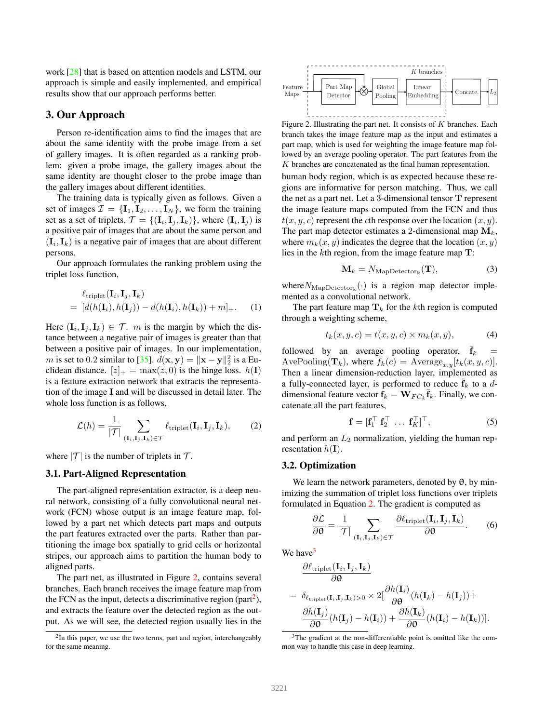work [\[28\]](#page-8-27) that is based on attention models and LSTM, our approach is simple and easily implemented, and empirical results show that our approach performs better.

# 3. Our Approach

Person re-identification aims to find the images that are about the same identity with the probe image from a set of gallery images. It is often regarded as a ranking problem: given a probe image, the gallery images about the same identity are thought closer to the probe image than the gallery images about different identities.

The training data is typically given as follows. Given a set of images  $\mathcal{I} = \{\mathbf{I}_1, \mathbf{I}_2, \dots, \mathbf{I}_N\}$ , we form the training set as a set of triplets,  $\mathcal{T} = \{(\mathbf{I}_i, \mathbf{I}_j, \mathbf{I}_k)\}\)$ , where  $(\mathbf{I}_i, \mathbf{I}_j)$  is a positive pair of images that are about the same person and  $(I_i, I_k)$  is a negative pair of images that are about different persons.

Our approach formulates the ranking problem using the triplet loss function,

$$
\ell_{\text{triplet}}(\mathbf{I}_i, \mathbf{I}_j, \mathbf{I}_k) = [d(h(\mathbf{I}_i), h(\mathbf{I}_j)) - d(h(\mathbf{I}_i), h(\mathbf{I}_k)) + m]_+.
$$
 (1)

Here  $(\mathbf{I}_i, \mathbf{I}_j, \mathbf{I}_k) \in \mathcal{T}$ . *m* is the margin by which the distance between a negative pair of images is greater than that between a positive pair of images. In our implementation, *m* is set to 0.2 similar to [\[35\]](#page-8-28).  $d(\mathbf{x}, \mathbf{y}) = ||\mathbf{x} - \mathbf{y}||_2^2$  is a Euclidean distance.  $[z]_+ = \max(z, 0)$  is the hinge loss.  $h(1)$ is a feature extraction network that extracts the representation of the image I and will be discussed in detail later. The whole loss function is as follows,

$$
\mathcal{L}(h) = \frac{1}{|\mathcal{T}|} \sum_{(\mathbf{I}_i, \mathbf{I}_j, \mathbf{I}_k) \in \mathcal{T}} \ell_{\text{triplet}}(\mathbf{I}_i, \mathbf{I}_j, \mathbf{I}_k), \tag{2}
$$

where  $|\mathcal{T}|$  is the number of triplets in  $\mathcal{T}$ .

#### 3.1. Part-Aligned Representation

The part-aligned representation extractor, is a deep neural network, consisting of a fully convolutional neural network (FCN) whose output is an image feature map, followed by a part net which detects part maps and outputs the part features extracted over the parts. Rather than partitioning the image box spatially to grid cells or horizontal stripes, our approach aims to partition the human body to aligned parts.

The part net, as illustrated in Figure [2,](#page-2-0) contains several branches. Each branch receives the image feature map from the FCN as the input, detects a discriminative region (part<sup>[2](#page-2-1)</sup>), and extracts the feature over the detected region as the output. As we will see, the detected region usually lies in the



<span id="page-2-0"></span>Figure 2. Illustrating the part net. It consists of  $K$  branches. Each branch takes the image feature map as the input and estimates a part map, which is used for weighting the image feature map followed by an average pooling operator. The part features from the K branches are concatenated as the final human representation.

human body region, which is as expected because these regions are informative for person matching. Thus, we call the net as a part net. Let a 3-dimensional tensor T represent the image feature maps computed from the FCN and thus  $t(x, y, c)$  represent the cth response over the location  $(x, y)$ . The part map detector estimates a 2-dimensional map  $M_k$ , where  $m_k(x, y)$  indicates the degree that the location  $(x, y)$ lies in the kth region, from the image feature map  $T$ :

<span id="page-2-4"></span>
$$
\mathbf{M}_{k} = N_{\text{MapDetector}_{k}}(\mathbf{T}), \tag{3}
$$

where  $N_{\text{MapDeterator}_{k}}(\cdot)$  is a region map detector implemented as a convolutional network.

The part feature map  $\mathbf{T}_k$  for the kth region is computed through a weighting scheme,

$$
t_k(x, y, c) = t(x, y, c) \times m_k(x, y), \tag{4}
$$

followed by an average pooling operator,  $\bar{f}_k$ AvePooling( $\mathbf{T}_k$ ), where  $\bar{f}_k(c) = \text{Average}_{x,y}[t_k(x, y, c)].$ Then a linear dimension-reduction layer, implemented as a fully-connected layer, is performed to reduce  $f_k$  to a ddimensional feature vector  $\mathbf{f}_k = \mathbf{W}_{FC_k} \overline{\mathbf{f}}_k$ . Finally, we concatenate all the part features,

$$
\mathbf{f} = [\mathbf{f}_1^\top \ \mathbf{f}_2^\top \ \dots \ \mathbf{f}_K^\top]^\top,\tag{5}
$$

<span id="page-2-2"></span>and perform an  $L_2$  normalization, yielding the human representation  $h(\mathbf{I})$ .

# 3.2. Optimization

We learn the network parameters, denoted by  $\theta$ , by minimizing the summation of triplet loss functions over triplets formulated in Equation [2.](#page-2-2) The gradient is computed as

$$
\frac{\partial \mathcal{L}}{\partial \theta} = \frac{1}{|\mathcal{T}|} \sum_{(\mathbf{I}_i, \mathbf{I}_j, \mathbf{I}_k) \in \mathcal{T}} \frac{\partial \ell_{\text{triplet}}(\mathbf{I}_i, \mathbf{I}_j, \mathbf{I}_k)}{\partial \theta}.
$$
 (6)

We have $3$ 

$$
\frac{\partial \ell_{\text{triplet}}(\mathbf{I}_i, \mathbf{I}_j, \mathbf{I}_k)}{\partial \theta} \n= \delta_{\ell_{\text{triplet}}(\mathbf{I}_i, \mathbf{I}_j, \mathbf{I}_k) > 0} \times 2[\frac{\partial h(\mathbf{I}_i)}{\partial \theta}(h(\mathbf{I}_k) - h(\mathbf{I}_j)) + \\ \frac{\partial h(\mathbf{I}_j)}{\partial \theta}(h(\mathbf{I}_j) - h(\mathbf{I}_i)) + \frac{\partial h(\mathbf{I}_k)}{\partial \theta}(h(\mathbf{I}_i) - h(\mathbf{I}_k))].
$$

<span id="page-2-1"></span> $2$ In this paper, we use the two terms, part and region, interchangeably for the same meaning.

<span id="page-2-3"></span><sup>&</sup>lt;sup>3</sup>The gradient at the non-differentiable point is omitted like the common way to handle this case in deep learning.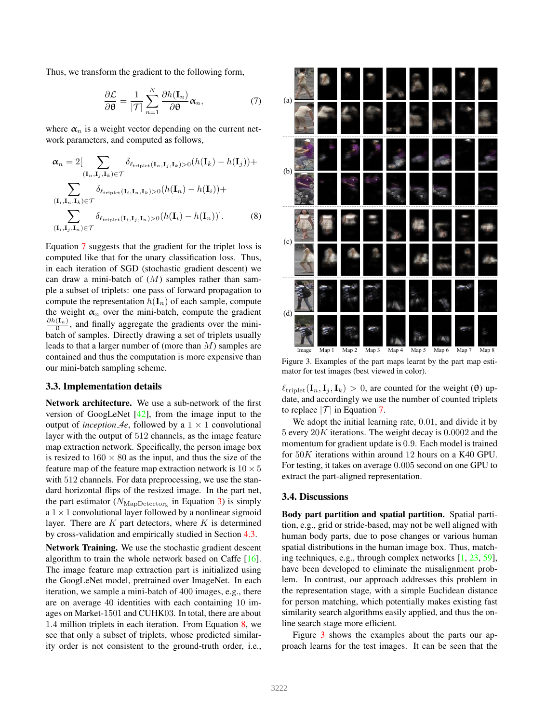Thus, we transform the gradient to the following form,

$$
\frac{\partial \mathcal{L}}{\partial \boldsymbol{\theta}} = \frac{1}{|\mathcal{T}|} \sum_{n=1}^{N} \frac{\partial h(\mathbf{I}_n)}{\partial \boldsymbol{\theta}} \boldsymbol{\alpha}_n, \tag{7}
$$

where  $\alpha_n$  is a weight vector depending on the current network parameters, and computed as follows,

$$
\alpha_n = 2[\sum_{(\mathbf{I}_n, \mathbf{I}_j, \mathbf{I}_k) \in \mathcal{T}} \delta_{\ell_{\text{triplet}}(\mathbf{I}_n, \mathbf{I}_j, \mathbf{I}_k) > 0} (h(\mathbf{I}_k) - h(\mathbf{I}_j)) +
$$
  

$$
\sum_{(\mathbf{I}_i, \mathbf{I}_n, \mathbf{I}_k) \in \mathcal{T}} \delta_{\ell_{\text{triplet}}(\mathbf{I}_i, \mathbf{I}_n, \mathbf{I}_k) > 0} (h(\mathbf{I}_n) - h(\mathbf{I}_i)) +
$$
  

$$
\sum_{(\mathbf{I}_i, \mathbf{I}_j, \mathbf{I}_n) \in \mathcal{T}} \delta_{\ell_{\text{triplet}}(\mathbf{I}_i, \mathbf{I}_j, \mathbf{I}_n) > 0} (h(\mathbf{I}_i) - h(\mathbf{I}_n))].
$$
 (8)

Equation [7](#page-3-0) suggests that the gradient for the triplet loss is computed like that for the unary classification loss. Thus, in each iteration of SGD (stochastic gradient descent) we can draw a mini-batch of  $(M)$  samples rather than sample a subset of triplets: one pass of forward propagation to compute the representation  $h(\mathbf{I}_n)$  of each sample, compute the weight  $\alpha_n$  over the mini-batch, compute the gradient  $\frac{\partial h(I_n)}{\partial}$ , and finally aggregate the gradients over the minibatch of samples. Directly drawing a set of triplets usually leads to that a larger number of (more than M) samples are contained and thus the computation is more expensive than our mini-batch sampling scheme.

#### <span id="page-3-3"></span>3.3. Implementation details

Network architecture. We use a sub-network of the first version of GoogLeNet [\[42\]](#page-9-17), from the image input to the output of *inception*  $4e$ , followed by a  $1 \times 1$  convolutional layer with the output of 512 channels, as the image feature map extraction network. Specifically, the person image box is resized to  $160 \times 80$  as the input, and thus the size of the feature map of the feature map extraction network is  $10 \times 5$ with 512 channels. For data preprocessing, we use the standard horizontal flips of the resized image. In the part net, the part estimator ( $N_{\text{MapDetector}_k}$  in Equation [3\)](#page-2-4) is simply a  $1 \times 1$  convolutional layer followed by a nonlinear sigmoid layer. There are  $K$  part detectors, where  $K$  is determined by cross-validation and empirically studied in Section [4.3.](#page-5-0)

Network Training. We use the stochastic gradient descent algorithm to train the whole network based on Caffe [\[16\]](#page-8-29). The image feature map extraction part is initialized using the GoogLeNet model, pretrained over ImageNet. In each iteration, we sample a mini-batch of 400 images, e.g., there are on average 40 identities with each containing 10 images on Market-1501 and CUHK03. In total, there are about 1.4 million triplets in each iteration. From Equation [8,](#page-3-1) we see that only a subset of triplets, whose predicted similarity order is not consistent to the ground-truth order, i.e.,

<span id="page-3-1"></span><span id="page-3-0"></span>

<span id="page-3-2"></span>Figure 3. Examples of the part maps learnt by the part map estimator for test images (best viewed in color).

 $\ell_{\text{triplet}}(\mathbf{I}_n, \mathbf{I}_i, \mathbf{I}_k) > 0$ , are counted for the weight ( $\theta$ ) update, and accordingly we use the number of counted triplets to replace  $|\mathcal{T}|$  in Equation [7.](#page-3-0)

We adopt the initial learning rate, 0.01, and divide it by 5 every  $20K$  iterations. The weight decay is  $0.0002$  and the momentum for gradient update is 0.9. Each model is trained for 50K iterations within around 12 hours on a K40 GPU. For testing, it takes on average 0.005 second on one GPU to extract the part-aligned representation.

#### 3.4. Discussions

Body part partition and spatial partition. Spatial partition, e.g., grid or stride-based, may not be well aligned with human body parts, due to pose changes or various human spatial distributions in the human image box. Thus, matching techniques, e.g., through complex networks [\[1,](#page-8-7) [23,](#page-8-2) [59\]](#page-9-18), have been developed to eliminate the misalignment problem. In contrast, our approach addresses this problem in the representation stage, with a simple Euclidean distance for person matching, which potentially makes existing fast similarity search algorithms easily applied, and thus the online search stage more efficient.

Figure [3](#page-3-2) shows the examples about the parts our approach learns for the test images. It can be seen that the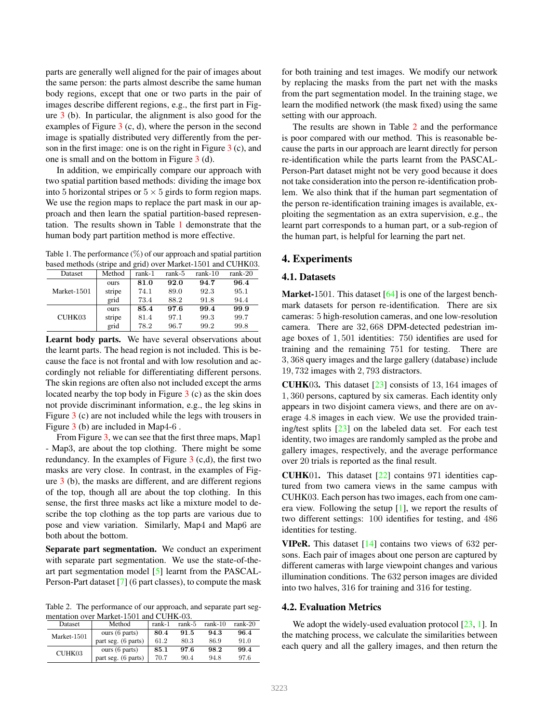parts are generally well aligned for the pair of images about the same person: the parts almost describe the same human body regions, except that one or two parts in the pair of images describe different regions, e.g., the first part in Figure [3](#page-3-2) (b). In particular, the alignment is also good for the examples of Figure  $3$  (c, d), where the person in the second image is spatially distributed very differently from the person in the first image: one is on the right in Figure  $3$  (c), and one is small and on the bottom in Figure [3](#page-3-2) (d).

In addition, we empirically compare our approach with two spatial partition based methods: dividing the image box into 5 horizontal stripes or  $5 \times 5$  girds to form region maps. We use the region maps to replace the part mask in our approach and then learn the spatial partition-based representation. The results shown in Table [1](#page-4-0) demonstrate that the human body part partition method is more effective.

<span id="page-4-0"></span>Table 1. The performance  $(\%)$  of our approach and spatial partition based methods (stripe and grid) over Market-1501 and CUHK03.

| Dataset     | Method | rank-1 | rank-5 | $rank-10$ | $rank-20$ |
|-------------|--------|--------|--------|-----------|-----------|
|             | ours   | 81.0   | 92.0   | 94.7      | 96.4      |
| Market-1501 | stripe | 74.1   | 89.0   | 92.3      | 95.1      |
|             | grid   | 73.4   | 88.2   | 91.8      | 94.4      |
| CUHK03      | ours   | 85.4   | 97.6   | 99.4      | 99.9      |
|             | stripe | 81.4   | 97.1   | 99.3      | 99.7      |
|             | grid   | 78.2   | 96.7   | 99.2      | 99.8      |

Learnt body parts. We have several observations about the learnt parts. The head region is not included. This is because the face is not frontal and with low resolution and accordingly not reliable for differentiating different persons. The skin regions are often also not included except the arms located nearby the top body in Figure [3](#page-3-2) (c) as the skin does not provide discriminant information, e.g., the leg skins in Figure [3](#page-3-2) (c) are not included while the legs with trousers in Figure [3](#page-3-2) (b) are included in Map4-6 .

From Figure [3,](#page-3-2) we can see that the first three maps, Map1 - Map3, are about the top clothing. There might be some redundancy. In the examples of Figure  $3$  (c,d), the first two masks are very close. In contrast, in the examples of Figure [3](#page-3-2) (b), the masks are different, and are different regions of the top, though all are about the top clothing. In this sense, the first three masks act like a mixture model to describe the top clothing as the top parts are various due to pose and view variation. Similarly, Map4 and Map6 are both about the bottom.

Separate part segmentation. We conduct an experiment with separate part segmentation. We use the state-of-theart part segmentation model [\[5\]](#page-8-26) learnt from the PASCAL-Person-Part dataset [\[7\]](#page-8-25) (6 part classes), to compute the mask

<span id="page-4-1"></span>Table 2. The performance of our approach, and separate part segmentation over Market-1501 and CUHK-03.

| Dataset     | Method              | rank-1 | $rank-5$ | $rank-10$ | $rank-20$ |
|-------------|---------------------|--------|----------|-----------|-----------|
| Market-1501 | ours (6 parts)      | 80.4   | 91.5     | 94.3      | 96.4      |
|             | part seg. (6 parts) | 61.2   | 80.3     | 86.9      | 91.0      |
| CUHK03      | ours (6 parts)      | 85.1   | 97.6     | 98.2      | 99.4      |
|             | part seg. (6 parts) | 70.7   | 90.4     | 94.8      | 97.6      |

for both training and test images. We modify our network by replacing the masks from the part net with the masks from the part segmentation model. In the training stage, we learn the modified network (the mask fixed) using the same setting with our approach.

The results are shown in Table [2](#page-4-1) and the performance is poor compared with our method. This is reasonable because the parts in our approach are learnt directly for person re-identification while the parts learnt from the PASCAL-Person-Part dataset might not be very good because it does not take consideration into the person re-identification problem. We also think that if the human part segmentation of the person re-identification training images is available, exploiting the segmentation as an extra supervision, e.g., the learnt part corresponds to a human part, or a sub-region of the human part, is helpful for learning the part net.

# 4. Experiments

# 4.1. Datasets

Market-1501. This dataset [\[64\]](#page-9-25) is one of the largest benchmark datasets for person re-identification. There are six cameras: 5 high-resolution cameras, and one low-resolution camera. There are 32, 668 DPM-detected pedestrian image boxes of 1, 501 identities: 750 identifies are used for training and the remaining 751 for testing. There are 3, 368 query images and the large gallery (database) include 19, 732 images with 2, 793 distractors.

**CUHK03.** This dataset  $\lceil 23 \rceil$  consists of 13, 164 images of 1, 360 persons, captured by six cameras. Each identity only appears in two disjoint camera views, and there are on average 4.8 images in each view. We use the provided training/test splits [\[23\]](#page-8-2) on the labeled data set. For each test identity, two images are randomly sampled as the probe and gallery images, respectively, and the average performance over 20 trials is reported as the final result.

CUHK01. This dataset [\[22\]](#page-8-30) contains 971 identities captured from two camera views in the same campus with CUHK03. Each person has two images, each from one camera view. Following the setup [\[1\]](#page-8-7), we report the results of two different settings: 100 identifies for testing, and 486 identities for testing.

**VIPeR.** This dataset  $[14]$  contains two views of 632 persons. Each pair of images about one person are captured by different cameras with large viewpoint changes and various illumination conditions. The 632 person images are divided into two halves, 316 for training and 316 for testing.

#### 4.2. Evaluation Metrics

We adopt the widely-used evaluation protocol  $[23, 1]$  $[23, 1]$ . In the matching process, we calculate the similarities between each query and all the gallery images, and then return the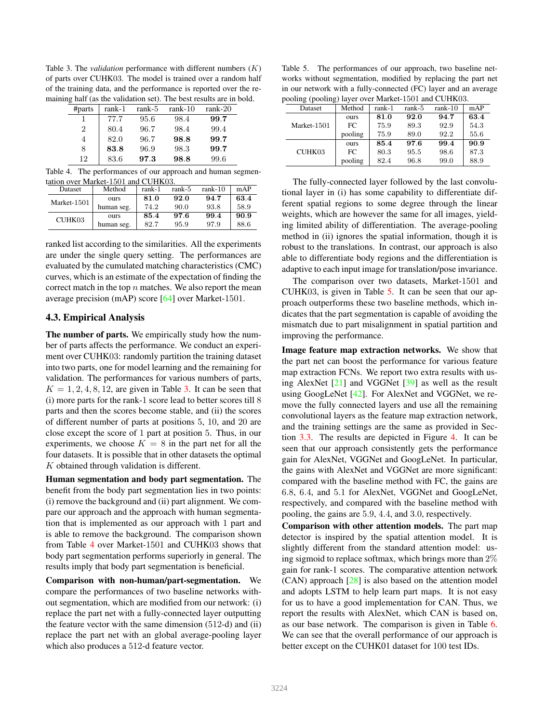<span id="page-5-1"></span>Table 3. The *validation* performance with different numbers (K) of parts over CUHK03. The model is trained over a random half of the training data, and the performance is reported over the remaining half (as the validation set). The best results are in bold.

| #parts         | rank-1 | rank-5 | $rank-10$ | $rank-20$ |
|----------------|--------|--------|-----------|-----------|
|                | 77.7   | 95.6   | 98.4      | 99.7      |
| $\overline{2}$ | 80.4   | 96.7   | 98.4      | 99.4      |
| 4              | 82.0   | 96.7   | 98.8      | 99.7      |
| 8              | 83.8   | 96.9   | 98.3      | 99.7      |
| 12             | 83.6   | 97.3   | 98.8      | 99.6      |

<span id="page-5-2"></span>Table 4. The performances of our approach and human segmentation over Market-1501 and CUHK03.

| Dataset     | Method     | rank-1 | rank-5 | $rank-10$ | mAP  |
|-------------|------------|--------|--------|-----------|------|
| Market-1501 | ours       | 81.0   | 92.0   | 94.7      | 63.4 |
|             | human seg. | 74.2   | 90.0   | 93.8      | 58.9 |
| CUHK03      | ours       | 85.4   | 97.6   | 99.4      | 90.9 |
|             | human seg. | 82.7   | 95.9   | 97.9      | 88.6 |

ranked list according to the similarities. All the experiments are under the single query setting. The performances are evaluated by the cumulated matching characteristics (CMC) curves, which is an estimate of the expectation of finding the correct match in the top  $n$  matches. We also report the mean average precision (mAP) score [\[64\]](#page-9-25) over Market-1501.

# <span id="page-5-0"></span>4.3. Empirical Analysis

The number of parts. We empirically study how the number of parts affects the performance. We conduct an experiment over CUHK03: randomly partition the training dataset into two parts, one for model learning and the remaining for validation. The performances for various numbers of parts,  $K = 1, 2, 4, 8, 12$ , are given in Table [3.](#page-5-1) It can be seen that (i) more parts for the rank-1 score lead to better scores till 8 parts and then the scores become stable, and (ii) the scores of different number of parts at positions 5, 10, and 20 are close except the score of 1 part at position 5. Thus, in our experiments, we choose  $K = 8$  in the part net for all the four datasets. It is possible that in other datasets the optimal  $K$  obtained through validation is different.

Human segmentation and body part segmentation. The benefit from the body part segmentation lies in two points: (i) remove the background and (ii) part alignment. We compare our approach and the approach with human segmentation that is implemented as our approach with 1 part and is able to remove the background. The comparison shown from Table [4](#page-5-2) over Market-1501 and CUHK03 shows that body part segmentation performs superiorly in general. The results imply that body part segmentation is beneficial.

Comparison with non-human/part-segmentation. We compare the performances of two baseline networks without segmentation, which are modified from our network: (i) replace the part net with a fully-connected layer outputting the feature vector with the same dimension (512-d) and (ii) replace the part net with an global average-pooling layer which also produces a 512-d feature vector.

<span id="page-5-3"></span>Table 5. The performances of our approach, two baseline networks without segmentation, modified by replacing the part net in our network with a fully-connected (FC) layer and an average pooling (pooling) layer over Market-1501 and CUHK03.

| COMING (POOLING) Tayer over Market-1501 and COHKOS. |         |        |        |           |      |  |
|-----------------------------------------------------|---------|--------|--------|-----------|------|--|
| Dataset                                             | Method  | rank-1 | rank-5 | $rank-10$ | mAP  |  |
|                                                     | ours    | 81.0   | 92.0   | 94.7      | 63.4 |  |
| Market-1501                                         | FC      | 75.9   | 89.3   | 92.9      | 54.3 |  |
|                                                     | pooling | 75.9   | 89.0   | 92.2      | 55.6 |  |
|                                                     | ours    | 85.4   | 97.6   | 99.4      | 90.9 |  |
| CUHK03                                              | FC      | 80.3   | 95.5   | 98.6      | 87.3 |  |
|                                                     | pooling | 82.4   | 96.8   | 99.0      | 88.9 |  |

The fully-connected layer followed by the last convolutional layer in (i) has some capability to differentiate different spatial regions to some degree through the linear weights, which are however the same for all images, yielding limited ability of differentiation. The average-pooling method in (ii) ignores the spatial information, though it is robust to the translations. In contrast, our approach is also able to differentiate body regions and the differentiation is adaptive to each input image for translation/pose invariance.

The comparison over two datasets, Market-1501 and CUHK03, is given in Table [5.](#page-5-3) It can be seen that our approach outperforms these two baseline methods, which indicates that the part segmentation is capable of avoiding the mismatch due to part misalignment in spatial partition and improving the performance.

Image feature map extraction networks. We show that the part net can boost the performance for various feature map extraction FCNs. We report two extra results with using AlexNet [\[21\]](#page-8-32) and VGGNet [\[39\]](#page-9-15) as well as the result using GoogLeNet [\[42\]](#page-9-17). For AlexNet and VGGNet, we remove the fully connected layers and use all the remaining convolutional layers as the feature map extraction network, and the training settings are the same as provided in Section [3.3.](#page-3-3) The results are depicted in Figure [4.](#page-6-0) It can be seen that our approach consistently gets the performance gain for AlexNet, VGGNet and GoogLeNet. In particular, the gains with AlexNet and VGGNet are more significant: compared with the baseline method with FC, the gains are 6.8, 6.4, and 5.1 for AlexNet, VGGNet and GoogLeNet, respectively, and compared with the baseline method with pooling, the gains are 5.9, 4.4, and 3.0, respectively.

Comparison with other attention models. The part map detector is inspired by the spatial attention model. It is slightly different from the standard attention model: using sigmoid to replace softmax, which brings more than 2% gain for rank-1 scores. The comparative attention network (CAN) approach [\[28\]](#page-8-27) is also based on the attention model and adopts LSTM to help learn part maps. It is not easy for us to have a good implementation for CAN. Thus, we report the results with AlexNet, which CAN is based on, as our base network. The comparison is given in Table [6.](#page-6-1) We can see that the overall performance of our approach is better except on the CUHK01 dataset for 100 test IDs.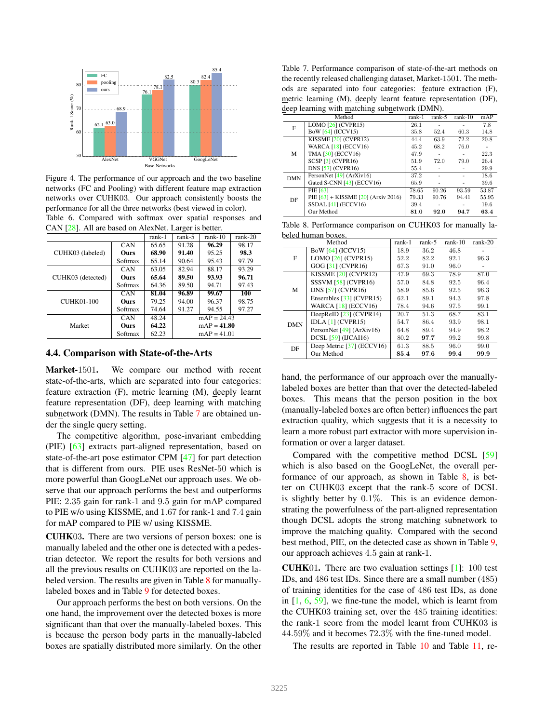

<span id="page-6-0"></span>Figure 4. The performance of our approach and the two baseline networks (FC and Pooling) with different feature map extraction networks over CUHK03. Our approach consistently boosts the performance for all the three networks (best viewed in color). Table 6. Compared with softmax over spatial responses and

<span id="page-6-1"></span>CAN [\[28\]](#page-8-27). All are based on AlexNet. Larger is better.

|                   |            | rank-1 | rank-5        | $rank-10$     | $rank-20$ |  |
|-------------------|------------|--------|---------------|---------------|-----------|--|
|                   | CAN        | 65.65  | 91.28         | 96.29         | 98.17     |  |
| CUHK03 (labeled)  | Ours       | 68.90  | 91.40         | 95.25         | 98.3      |  |
|                   | Softmax    | 65.14  | 90.64         | 95.43         | 97.79     |  |
|                   | CAN        | 63.05  | 82.94         | 88.17         | 93.29     |  |
| CUHK03 (detected) | Ours       | 65.64  | 89.50         | 93.93         | 96.71     |  |
|                   | Softmax    | 64.36  | 89.50         | 94.71         | 97.43     |  |
|                   | <b>CAN</b> | 81.04  | 96.89         | 99.67         | 100       |  |
| CUHK01-100        | Ours       | 79.25  | 94.00         | 96.37         | 98.75     |  |
|                   | Softmax    | 74.64  | 91.27         | 94.55         | 97.27     |  |
|                   | CAN        | 48.24  | $mAP = 24.43$ |               |           |  |
| Market            | Ours       | 64.22  |               | $mAP = 41.80$ |           |  |
|                   | Softmax    | 62.23  | $mAP = 41.01$ |               |           |  |

#### 4.4. Comparison with State-of-the-Arts

Market-1501. We compare our method with recent state-of-the-arts, which are separated into four categories: feature extraction (F), metric learning (M), deeply learnt feature representation (DF), deep learning with matching subnetwork (DMN). The results in Table [7](#page-6-2) are obtained under the single query setting.

The competitive algorithm, pose-invariant embedding (PIE) [\[63\]](#page-9-23) extracts part-aligned representation, based on state-of-the-art pose estimator CPM [\[47\]](#page-9-24) for part detection that is different from ours. PIE uses ResNet-50 which is more powerful than GoogLeNet our approach uses. We observe that our approach performs the best and outperforms PIE: 2.35 gain for rank-1 and 9.5 gain for mAP compared to PIE w/o using KISSME, and 1.67 for rank-1 and 7.4 gain for mAP compared to PIE w/ using KISSME.

CUHK03. There are two versions of person boxes: one is manually labeled and the other one is detected with a pedestrian detector. We report the results for both versions and all the previous results on CUHK03 are reported on the labeled version. The results are given in Table [8](#page-6-3) for manuallylabeled boxes and in Table [9](#page-7-0) for detected boxes.

Our approach performs the best on both versions. On the one hand, the improvement over the detected boxes is more significant than that over the manually-labeled boxes. This is because the person body parts in the manually-labeled boxes are spatially distributed more similarly. On the other

<span id="page-6-2"></span>Table 7. Performance comparison of state-of-the-art methods on the recently released challenging dataset, Market-1501. The methods are separated into four categories: feature extraction (F), metric learning (M), deeply learnt feature representation (DF), deep learning with matching subnetwork (DMN).

|            | ຼ<br>ຼ                                  |        |        |           |       |
|------------|-----------------------------------------|--------|--------|-----------|-------|
|            | Method                                  | rank-1 | rank-5 | $rank-10$ | mAP   |
| F          | LOMO $[26]$ (CVPR15)                    | 26.1   |        |           | 7.8   |
|            | <b>BoW</b> [64] (ICCV15)                | 35.8   | 52.4   | 60.3      | 14.8  |
|            | KISSME [20] (CVPR12)                    | 44.4   | 63.9   | 72.2      | 20.8  |
|            | <b>WARCA [18] (ECCV16)</b>              | 45.2   | 68.2   | 76.0      |       |
| М          | TMA [30] (ECCV16)                       | 47.9   | ۰      |           | 22.3  |
|            | SCSP [3] (CVPR16)                       | 51.9   | 72.0   | 79.0      | 26.4  |
|            | <b>DNS</b> [57] (CVPR16)                | 55.4   | ٠      |           | 29.9  |
| <b>DMN</b> | PersonNet $[49]$ (ArXiv16)              | 37.2   |        |           | 18.6  |
|            | Gated S-CNN [43] (ECCV16)               | 65.9   |        |           | 39.6  |
|            | PIE [63]                                | 78.65  | 90.26  | 93.59     | 53.87 |
| DF         | PIE $[63]$ + KISSME $[20]$ (Arxiv 2016) | 79.33  | 90.76  | 94.41     | 55.95 |
|            | SSDAL $[41]$ (ECCV16)                   | 39.4   |        |           | 19.6  |
|            | Our Method                              | 81.0   | 92.0   | 94.7      | 63.4  |

<span id="page-6-3"></span>Table 8. Performance comparison on CUHK03 for manually labeled human boxes.

|            | остоа паптап оодсо.        |        |        |           |           |
|------------|----------------------------|--------|--------|-----------|-----------|
|            | Method                     | rank-1 | rank-5 | $rank-10$ | $rank-20$ |
|            | <b>BoW</b> [64] (ICCV15)   | 18.9   | 36.2   | 46.8      |           |
| F          | LOMO $[26]$ (CVPR15)       | 52.2   | 82.2   | 92.1      | 96.3      |
|            | GOG [31] (CVPR16)          | 67.3   | 91.0   | 96.0      | ٠         |
|            | KISSME $[20]$ (CVPR12)     | 47.9   | 69.3   | 78.9      | 87.0      |
|            | $SSSVM$ [58] (CVPR16)      | 57.0   | 84.8   | 92.5      | 96.4      |
| M          | <b>DNS</b> [57] (CVPR16)   | 58.9   | 85.6   | 92.5      | 96.3      |
|            | Ensembles $[33]$ (CVPR15)  | 62.1   | 89.1   | 94.3      | 97.8      |
|            | <b>WARCA [18] (ECCV16)</b> | 78.4   | 94.6   | 97.5      | 99.1      |
|            | DeepReID $[23]$ (CVPR14)   | 20.7   | 51.3   | 68.7      | 83.1      |
| <b>DMN</b> | IDLA $[1]$ (CVPR15)        | 54.7   | 86.4   | 93.9      | 98.1      |
|            | PersonNet $[49]$ (ArXiv16) | 64.8   | 89.4   | 94.9      | 98.2      |
|            | DCSL [59] (IJCAI16)        | 80.2   | 97.7   | 99.2      | 99.8      |
| DF         | Deep Metric [37] (ECCV16)  | 61.3   | 88.5   | 96.0      | 99.0      |
|            | Our Method                 | 85.4   | 97.6   | 99.4      | 99.9      |

hand, the performance of our approach over the manuallylabeled boxes are better than that over the detected-labeled boxes. This means that the person position in the box (manually-labeled boxes are often better) influences the part extraction quality, which suggests that it is a necessity to learn a more robust part extractor with more supervision information or over a larger dataset.

Compared with the competitive method DCSL [\[59\]](#page-9-18) which is also based on the GoogLeNet, the overall performance of our approach, as shown in Table [8,](#page-6-3) is better on CUHK03 except that the rank-5 score of DCSL is slightly better by 0.1%. This is an evidence demonstrating the powerfulness of the part-aligned representation though DCSL adopts the strong matching subnetwork to improve the matching quality. Compared with the second best method, PIE, on the detected case as shown in Table [9,](#page-7-0) our approach achieves 4.5 gain at rank-1.

CUHK01. There are two evaluation settings [\[1\]](#page-8-7): 100 test IDs, and 486 test IDs. Since there are a small number (485) of training identities for the case of 486 test IDs, as done in  $[1, 6, 59]$  $[1, 6, 59]$  $[1, 6, 59]$  $[1, 6, 59]$ , we fine-tune the model, which is learnt from the CUHK03 training set, over the 485 training identities: the rank-1 score from the model learnt from CUHK03 is 44.59% and it becomes 72.3% with the fine-tuned model.

The results are reported in Table [10](#page-7-1) and Table [11,](#page-7-2) re-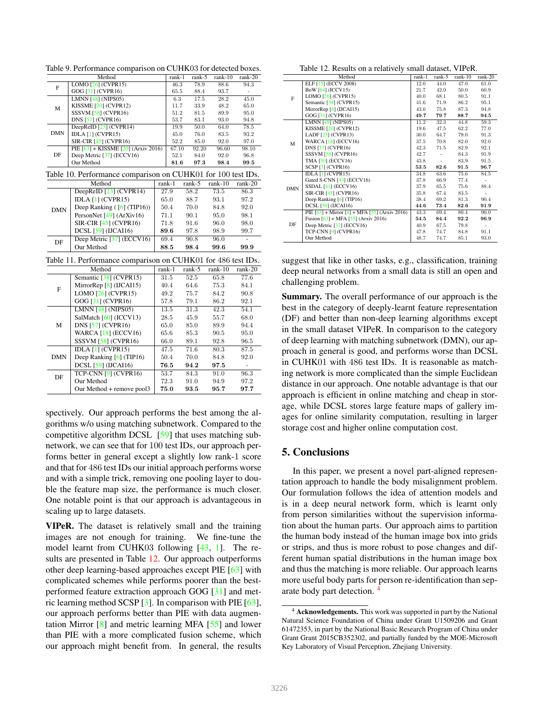<span id="page-7-1"></span>

|                         |                                                                                                                                                                                                                                                                                                                                                                                                                                                                                                                                                                                                                                                                                                                                                                                                                                        |                                                                                                                                                                                                                                                                                                                                                                                                                                                                                                                                                                                                                                                                                                                                                                                          | rank-1                                                                                                                                                                          | rank-5 | rank-10 | $rank-20$ |
|-------------------------|----------------------------------------------------------------------------------------------------------------------------------------------------------------------------------------------------------------------------------------------------------------------------------------------------------------------------------------------------------------------------------------------------------------------------------------------------------------------------------------------------------------------------------------------------------------------------------------------------------------------------------------------------------------------------------------------------------------------------------------------------------------------------------------------------------------------------------------|------------------------------------------------------------------------------------------------------------------------------------------------------------------------------------------------------------------------------------------------------------------------------------------------------------------------------------------------------------------------------------------------------------------------------------------------------------------------------------------------------------------------------------------------------------------------------------------------------------------------------------------------------------------------------------------------------------------------------------------------------------------------------------------|---------------------------------------------------------------------------------------------------------------------------------------------------------------------------------|--------|---------|-----------|
|                         |                                                                                                                                                                                                                                                                                                                                                                                                                                                                                                                                                                                                                                                                                                                                                                                                                                        |                                                                                                                                                                                                                                                                                                                                                                                                                                                                                                                                                                                                                                                                                                                                                                                          |                                                                                                                                                                                 | 78.9   | 88.6    | 94.3      |
|                         | GOG [31] (CVPR16)                                                                                                                                                                                                                                                                                                                                                                                                                                                                                                                                                                                                                                                                                                                                                                                                                      |                                                                                                                                                                                                                                                                                                                                                                                                                                                                                                                                                                                                                                                                                                                                                                                          |                                                                                                                                                                                 |        | 93.7    | ÷         |
|                         |                                                                                                                                                                                                                                                                                                                                                                                                                                                                                                                                                                                                                                                                                                                                                                                                                                        |                                                                                                                                                                                                                                                                                                                                                                                                                                                                                                                                                                                                                                                                                                                                                                                          |                                                                                                                                                                                 |        |         | 45.0      |
|                         |                                                                                                                                                                                                                                                                                                                                                                                                                                                                                                                                                                                                                                                                                                                                                                                                                                        |                                                                                                                                                                                                                                                                                                                                                                                                                                                                                                                                                                                                                                                                                                                                                                                          |                                                                                                                                                                                 | 33.9   | 48.2    | 65.0      |
|                         | Method<br>LOMO $[26]$ (CVPR15)<br>F<br><b>LMNN</b> [48] (NIPS05)<br>KISSME [20] (CVPR12)<br>M<br><b>SSSVM [58] (CVPR16)</b><br>DNS [57] (CVPR16)<br>DeepReID [23] (CVPR14)<br>IDLA $[1]$ (CVPR15)<br>SIR-CIR [45] (CVPR16)<br>DF<br>Deep Metric [37] (ECCV16)<br>Our Method<br>Method<br>DeepReID [23] (CVPR14)<br>IDLA $[1]$ (CVPR15)<br>Deep Ranking ([6] (TIP16))<br>PersonNet [49] (ArXiv16)<br>SIR-CIR [45] (CVPR16)<br>DCSL [59] (IJCAI16)<br>Deep Metric [37] (ECCV16)<br>DF<br>Our Method<br>Method<br>Semantic [38] (CVPR15)<br>MirrorRep [8] (IJCAI15)<br>F<br>LOMO $[26]$ (CVPR15)<br>GOG [31] (CVPR16)<br><b>LMNN</b> [48] (NIPS05)<br>SalMatch [60] (ICCV13)<br>M<br>DNS [57] (CVPR16)<br>WARCA $[18]$ (ECCV16)<br><b>SSSVM</b> [58] (CVPR16)<br>IDLA $[1]$ (CVPR15)<br>Deep Ranking [6] (TIP16)<br>DCSL $[59]$ (IJCAI16) |                                                                                                                                                                                                                                                                                                                                                                                                                                                                                                                                                                                                                                                                                                                                                                                          |                                                                                                                                                                                 |        |         | 95.0      |
|                         |                                                                                                                                                                                                                                                                                                                                                                                                                                                                                                                                                                                                                                                                                                                                                                                                                                        | 46.3<br>65.5<br>88.4<br>17.5<br>6.3<br>11.7<br>51.2<br>81.5<br>53.7<br>83.1<br>19.9<br>50.0<br>76.0<br>45.0<br>52.2<br>85.0<br>67.10<br>92.20<br>52.1<br>84.0<br>81.6<br>97.3<br>rank-1<br>$rank-5$<br>58.2<br>73.5<br>27.9<br>65.0<br>88.7<br>93.1<br>50.4<br>70.0<br>84.8<br>71.1<br>90.1<br>95.0<br>71.8<br>91.6<br>96.0<br>89.6<br>97.8<br>98.9<br>90.8<br>69.4<br>96.0<br>88.5<br>98.4<br>99.6<br>$rank-1$<br>$rank-5$<br>52.5<br>65.8<br>31.5<br>40.4<br>64.6<br>75.3<br>75.7<br>49.2<br>84.2<br>57.8<br>79.1<br>86.2<br>13.5<br>31.3<br>$\overline{42.3}$<br>45.9<br>55.7<br>28.5<br>65.0<br>85.0<br>89.9<br>65.6<br>85.3<br>90.5<br>66.0<br>89.1<br>92.8<br>71.6<br>80.3<br>47.5<br>50.4<br>70.0<br>84.8<br>76.5<br>94.2<br>97.5<br>53.7<br>84.3<br>91.0<br>72.3<br>91.0<br>94.9 |                                                                                                                                                                                 | 94.8   |         |           |
|                         | PIE $[63]$ + KISSME $[20]$ (Arxiv 2016)                                                                                                                                                                                                                                                                                                                                                                                                                                                                                                                                                                                                                                                                                                                                                                                                |                                                                                                                                                                                                                                                                                                                                                                                                                                                                                                                                                                                                                                                                                                                                                                                          |                                                                                                                                                                                 |        |         | 78.5      |
|                         |                                                                                                                                                                                                                                                                                                                                                                                                                                                                                                                                                                                                                                                                                                                                                                                                                                        |                                                                                                                                                                                                                                                                                                                                                                                                                                                                                                                                                                                                                                                                                                                                                                                          |                                                                                                                                                                                 |        |         | 93.2      |
|                         |                                                                                                                                                                                                                                                                                                                                                                                                                                                                                                                                                                                                                                                                                                                                                                                                                                        |                                                                                                                                                                                                                                                                                                                                                                                                                                                                                                                                                                                                                                                                                                                                                                                          |                                                                                                                                                                                 |        |         | 97.0      |
|                         |                                                                                                                                                                                                                                                                                                                                                                                                                                                                                                                                                                                                                                                                                                                                                                                                                                        |                                                                                                                                                                                                                                                                                                                                                                                                                                                                                                                                                                                                                                                                                                                                                                                          |                                                                                                                                                                                 |        |         | 98.10     |
|                         |                                                                                                                                                                                                                                                                                                                                                                                                                                                                                                                                                                                                                                                                                                                                                                                                                                        |                                                                                                                                                                                                                                                                                                                                                                                                                                                                                                                                                                                                                                                                                                                                                                                          |                                                                                                                                                                                 |        |         |           |
|                         |                                                                                                                                                                                                                                                                                                                                                                                                                                                                                                                                                                                                                                                                                                                                                                                                                                        |                                                                                                                                                                                                                                                                                                                                                                                                                                                                                                                                                                                                                                                                                                                                                                                          |                                                                                                                                                                                 |        |         | 99.5      |
|                         |                                                                                                                                                                                                                                                                                                                                                                                                                                                                                                                                                                                                                                                                                                                                                                                                                                        |                                                                                                                                                                                                                                                                                                                                                                                                                                                                                                                                                                                                                                                                                                                                                                                          |                                                                                                                                                                                 |        |         |           |
|                         |                                                                                                                                                                                                                                                                                                                                                                                                                                                                                                                                                                                                                                                                                                                                                                                                                                        |                                                                                                                                                                                                                                                                                                                                                                                                                                                                                                                                                                                                                                                                                                                                                                                          |                                                                                                                                                                                 |        |         | $rank-20$ |
|                         |                                                                                                                                                                                                                                                                                                                                                                                                                                                                                                                                                                                                                                                                                                                                                                                                                                        |                                                                                                                                                                                                                                                                                                                                                                                                                                                                                                                                                                                                                                                                                                                                                                                          |                                                                                                                                                                                 |        |         | 86.3      |
|                         |                                                                                                                                                                                                                                                                                                                                                                                                                                                                                                                                                                                                                                                                                                                                                                                                                                        |                                                                                                                                                                                                                                                                                                                                                                                                                                                                                                                                                                                                                                                                                                                                                                                          |                                                                                                                                                                                 |        |         | 97.2      |
| <b>DMN</b>              |                                                                                                                                                                                                                                                                                                                                                                                                                                                                                                                                                                                                                                                                                                                                                                                                                                        |                                                                                                                                                                                                                                                                                                                                                                                                                                                                                                                                                                                                                                                                                                                                                                                          |                                                                                                                                                                                 |        |         | 92.0      |
|                         |                                                                                                                                                                                                                                                                                                                                                                                                                                                                                                                                                                                                                                                                                                                                                                                                                                        |                                                                                                                                                                                                                                                                                                                                                                                                                                                                                                                                                                                                                                                                                                                                                                                          |                                                                                                                                                                                 |        |         | 98.1      |
|                         |                                                                                                                                                                                                                                                                                                                                                                                                                                                                                                                                                                                                                                                                                                                                                                                                                                        |                                                                                                                                                                                                                                                                                                                                                                                                                                                                                                                                                                                                                                                                                                                                                                                          |                                                                                                                                                                                 |        |         | 98.0      |
|                         |                                                                                                                                                                                                                                                                                                                                                                                                                                                                                                                                                                                                                                                                                                                                                                                                                                        |                                                                                                                                                                                                                                                                                                                                                                                                                                                                                                                                                                                                                                                                                                                                                                                          |                                                                                                                                                                                 |        |         |           |
|                         |                                                                                                                                                                                                                                                                                                                                                                                                                                                                                                                                                                                                                                                                                                                                                                                                                                        |                                                                                                                                                                                                                                                                                                                                                                                                                                                                                                                                                                                                                                                                                                                                                                                          |                                                                                                                                                                                 |        |         |           |
|                         |                                                                                                                                                                                                                                                                                                                                                                                                                                                                                                                                                                                                                                                                                                                                                                                                                                        |                                                                                                                                                                                                                                                                                                                                                                                                                                                                                                                                                                                                                                                                                                                                                                                          |                                                                                                                                                                                 |        |         |           |
|                         |                                                                                                                                                                                                                                                                                                                                                                                                                                                                                                                                                                                                                                                                                                                                                                                                                                        |                                                                                                                                                                                                                                                                                                                                                                                                                                                                                                                                                                                                                                                                                                                                                                                          |                                                                                                                                                                                 |        |         |           |
|                         |                                                                                                                                                                                                                                                                                                                                                                                                                                                                                                                                                                                                                                                                                                                                                                                                                                        |                                                                                                                                                                                                                                                                                                                                                                                                                                                                                                                                                                                                                                                                                                                                                                                          |                                                                                                                                                                                 |        |         |           |
|                         |                                                                                                                                                                                                                                                                                                                                                                                                                                                                                                                                                                                                                                                                                                                                                                                                                                        |                                                                                                                                                                                                                                                                                                                                                                                                                                                                                                                                                                                                                                                                                                                                                                                          |                                                                                                                                                                                 |        |         | $rank-20$ |
|                         |                                                                                                                                                                                                                                                                                                                                                                                                                                                                                                                                                                                                                                                                                                                                                                                                                                        |                                                                                                                                                                                                                                                                                                                                                                                                                                                                                                                                                                                                                                                                                                                                                                                          |                                                                                                                                                                                 |        |         | 77.6      |
|                         |                                                                                                                                                                                                                                                                                                                                                                                                                                                                                                                                                                                                                                                                                                                                                                                                                                        |                                                                                                                                                                                                                                                                                                                                                                                                                                                                                                                                                                                                                                                                                                                                                                                          |                                                                                                                                                                                 |        |         | 84.1      |
|                         |                                                                                                                                                                                                                                                                                                                                                                                                                                                                                                                                                                                                                                                                                                                                                                                                                                        |                                                                                                                                                                                                                                                                                                                                                                                                                                                                                                                                                                                                                                                                                                                                                                                          |                                                                                                                                                                                 |        |         | 90.8      |
| DMN<br><b>DMN</b><br>DF |                                                                                                                                                                                                                                                                                                                                                                                                                                                                                                                                                                                                                                                                                                                                                                                                                                        |                                                                                                                                                                                                                                                                                                                                                                                                                                                                                                                                                                                                                                                                                                                                                                                          |                                                                                                                                                                                 |        |         | 92.1      |
|                         |                                                                                                                                                                                                                                                                                                                                                                                                                                                                                                                                                                                                                                                                                                                                                                                                                                        |                                                                                                                                                                                                                                                                                                                                                                                                                                                                                                                                                                                                                                                                                                                                                                                          |                                                                                                                                                                                 |        |         | 54.1      |
|                         |                                                                                                                                                                                                                                                                                                                                                                                                                                                                                                                                                                                                                                                                                                                                                                                                                                        |                                                                                                                                                                                                                                                                                                                                                                                                                                                                                                                                                                                                                                                                                                                                                                                          |                                                                                                                                                                                 |        |         |           |
|                         |                                                                                                                                                                                                                                                                                                                                                                                                                                                                                                                                                                                                                                                                                                                                                                                                                                        |                                                                                                                                                                                                                                                                                                                                                                                                                                                                                                                                                                                                                                                                                                                                                                                          |                                                                                                                                                                                 |        |         |           |
|                         |                                                                                                                                                                                                                                                                                                                                                                                                                                                                                                                                                                                                                                                                                                                                                                                                                                        |                                                                                                                                                                                                                                                                                                                                                                                                                                                                                                                                                                                                                                                                                                                                                                                          |                                                                                                                                                                                 |        |         |           |
|                         |                                                                                                                                                                                                                                                                                                                                                                                                                                                                                                                                                                                                                                                                                                                                                                                                                                        |                                                                                                                                                                                                                                                                                                                                                                                                                                                                                                                                                                                                                                                                                                                                                                                          |                                                                                                                                                                                 |        |         |           |
|                         |                                                                                                                                                                                                                                                                                                                                                                                                                                                                                                                                                                                                                                                                                                                                                                                                                                        |                                                                                                                                                                                                                                                                                                                                                                                                                                                                                                                                                                                                                                                                                                                                                                                          |                                                                                                                                                                                 |        |         |           |
|                         |                                                                                                                                                                                                                                                                                                                                                                                                                                                                                                                                                                                                                                                                                                                                                                                                                                        |                                                                                                                                                                                                                                                                                                                                                                                                                                                                                                                                                                                                                                                                                                                                                                                          |                                                                                                                                                                                 |        |         |           |
|                         |                                                                                                                                                                                                                                                                                                                                                                                                                                                                                                                                                                                                                                                                                                                                                                                                                                        |                                                                                                                                                                                                                                                                                                                                                                                                                                                                                                                                                                                                                                                                                                                                                                                          |                                                                                                                                                                                 |        |         |           |
|                         |                                                                                                                                                                                                                                                                                                                                                                                                                                                                                                                                                                                                                                                                                                                                                                                                                                        |                                                                                                                                                                                                                                                                                                                                                                                                                                                                                                                                                                                                                                                                                                                                                                                          | 89.9<br>93.0<br>64.0<br>83.5<br>92.0<br>96.60<br>92.0<br>96.8<br>98.4<br>$rank-10$<br>99.7<br>99.9<br>$rank-10$<br>68.0<br>94.4<br>95.0<br>96.5<br>87.5<br>92.0<br>93.5<br>95.7 |        |         |           |
|                         | TCP-CNN $[9]$ (CVPR16)                                                                                                                                                                                                                                                                                                                                                                                                                                                                                                                                                                                                                                                                                                                                                                                                                 |                                                                                                                                                                                                                                                                                                                                                                                                                                                                                                                                                                                                                                                                                                                                                                                          |                                                                                                                                                                                 |        |         | 96.3      |
|                         | Our Method                                                                                                                                                                                                                                                                                                                                                                                                                                                                                                                                                                                                                                                                                                                                                                                                                             | 28.2<br>Table 10. Performance comparison on CUHK01 for 100 test IDs.<br>Table 11. Performance comparison on CUHK01 for 486 test IDs.<br>75.0                                                                                                                                                                                                                                                                                                                                                                                                                                                                                                                                                                                                                                             | 97.2                                                                                                                                                                            |        |         |           |
|                         | Our Method + remove pool3                                                                                                                                                                                                                                                                                                                                                                                                                                                                                                                                                                                                                                                                                                                                                                                                              |                                                                                                                                                                                                                                                                                                                                                                                                                                                                                                                                                                                                                                                                                                                                                                                          |                                                                                                                                                                                 |        |         | 97.7      |

<span id="page-7-0"></span>Table 9. Performance comparison on CUHK03 for detected boxes.

<span id="page-7-2"></span>spectively. Our approach performs the best among the algorithms w/o using matching subnetwork. Compared to the competitive algorithm DCSL [\[59\]](#page-9-18) that uses matching subnetwork, we can see that for 100 test IDs, our approach performs better in general except a slightly low rank-1 score and that for 486 test IDs our initial approach performs worse and with a simple trick, removing one pooling layer to double the feature map size, the performance is much closer. One notable point is that our approach is advantageous in scaling up to large datasets.

VIPeR. The dataset is relatively small and the training images are not enough for training. We fine-tune the model learnt from CUHK03 following [\[43,](#page-9-21) [1\]](#page-8-7). The results are presented in Table [12.](#page-7-3) Our approach outperforms other deep learning-based approaches except PIE [\[63\]](#page-9-23) with complicated schemes while performs poorer than the bestperformed feature extraction approach GOG [\[31\]](#page-8-10) and metric learning method SCSP [\[3\]](#page-8-14). In comparison with PIE [\[63\]](#page-9-23), our approach performs better than PIE with data augmentation Mirror [\[8\]](#page-8-35) and metric learning MFA [\[55\]](#page-9-28) and lower than PIE with a more complicated fusion scheme, which our approach might benefit from. In general, the results

<span id="page-7-3"></span>Table 12. Results on a relatively small dataset, VIPeR.

|            | Method                                              | rank-1 | rank-5 | $rank-10$         | $rank-20$ |
|------------|-----------------------------------------------------|--------|--------|-------------------|-----------|
|            | ELF [15] (ECCV 2008)                                | 12.0   | 44.0   | 47.0              | 61.0      |
|            | BoW [64] (ICCV15)                                   | 21.7   | 42.0   | 50.0              | 60.9      |
| F          | LOMO $[26]$ (CVPR15)                                | 40.0   | 68.1   | 80.5              | 91.1      |
|            | Semantic [38] (CVPR15)                              | 41.6   | 71.9   | 86.2              | 95.1      |
|            | MirrorRep $[8]$ (IJCAI15)                           | 43.0   | 75.8   | 87.3              | 94.8      |
|            | GOG [31] (CVPR16)                                   | 49.7   | 79.7   | 88.7              | 94.5      |
|            | LMNN $[48]$ (NIPS05)                                | 11.2   | 32.3   | 44.8              | 59.3      |
|            | KISSME $[20]$ (CVPR12)                              | 19.6   | 47.5   | 62.2              | 77.0      |
|            | LADF $[25]$ (CVPR13)                                | 30.0   | 64.7   | 79.0              | 91.3      |
| M          | <b>WARCA [18] (ECCV16)</b>                          | 37.5   | 70.8   | 82.0              | 92.0      |
|            | <b>DNS</b> [57] (CVPR16)                            | 42.3   | 71.5   | 82.9              | 92.1      |
|            | SSSVM [58] (CVPR16)                                 | 42.7   | ä,     | 84.3              | 91.9      |
|            | TMA [30] (ECCV16)                                   | 43.8   | ÷      | 83.9              | 91.5      |
|            | SCSP [3] (CVPR16)                                   | 53.5   | 82.6   | 91.5              | 96.7      |
|            | IDLA $[1]$ (CVPR15)                                 | 34.8   | 63.6   | $\overline{75.6}$ | 84.5      |
|            | Gated S-CNN [43] (ECCV16)                           | 37.8   | 66.9   | 77.4              |           |
| <b>DMN</b> | SSDAL $[41]$ (ECCV16)                               | 37.9   | 65.5   | 75.6              | 88.4      |
|            | SIR-CIR $[45]$ (CVPR16)                             | 35.8   | 67.4   | 83.5              |           |
|            | Deep Ranking $[6]$ (TIP16)                          | 38.4   | 69.2   | 81.3              | 90.4      |
|            | DCSL [59] (UCAI16)                                  | 44.6   | 73.4   | 82.6              | 91.9      |
|            | PIE $[63]$ + Mirror $[8]$ + MFA $[55]$ (Arxiv 2016) | 43.3   | 69.4   | 80.4              | 90.0      |
|            | Fusion $[63] + MFA [55]$ (Arxiv 2016)               | 54.5   | 84.4   | 92.2              | 96.9      |
| DF         | Deep Metric [37] (ECCV16)                           | 40.9   | 67.5   | 79.8              |           |
|            | TCP-CNN $[9]$ (CVPR16)                              | 47.8   | 74.7   | 84.8              | 91.1      |
|            | Our Method                                          | 48.7   | 74.7   | 85.1              | 93.0      |

suggest that like in other tasks, e.g., classification, training deep neural networks from a small data is still an open and challenging problem.

Summary. The overall performance of our approach is the best in the category of deeply-learnt feature representation (DF) and better than non-deep learning algorithms except in the small dataset VIPeR. In comparison to the category of deep learning with matching subnetwork (DMN), our approach in general is good, and performs worse than DCSL in CUHK01 with 486 test IDs. It is reasonable as matching network is more complicated than the simple Euclidean distance in our approach. One notable advantage is that our approach is efficient in online matching and cheap in storage, while DCSL stores large feature maps of gallery images for online similarity computation, resulting in larger storage cost and higher online computation cost.

# 5. Conclusions

In this paper, we present a novel part-aligned representation approach to handle the body misalignment problem. Our formulation follows the idea of attention models and is in a deep neural network form, which is learnt only from person similarities without the supervision information about the human parts. Our approach aims to partition the human body instead of the human image box into grids or strips, and thus is more robust to pose changes and different human spatial distributions in the human image box and thus the matching is more reliable. Our approach learns more useful body parts for person re-identification than separate body part detection. [4](#page-7-4)

<span id="page-7-4"></span><sup>4</sup> Acknowledgements. This work was supported in part by the National Natural Science Foundation of China under Grant U1509206 and Grant 61472353, in part by the National Basic Research Program of China under Grant Grant 2015CB352302, and partially funded by the MOE-Microsoft Key Laboratory of Visual Perception, Zhejiang University.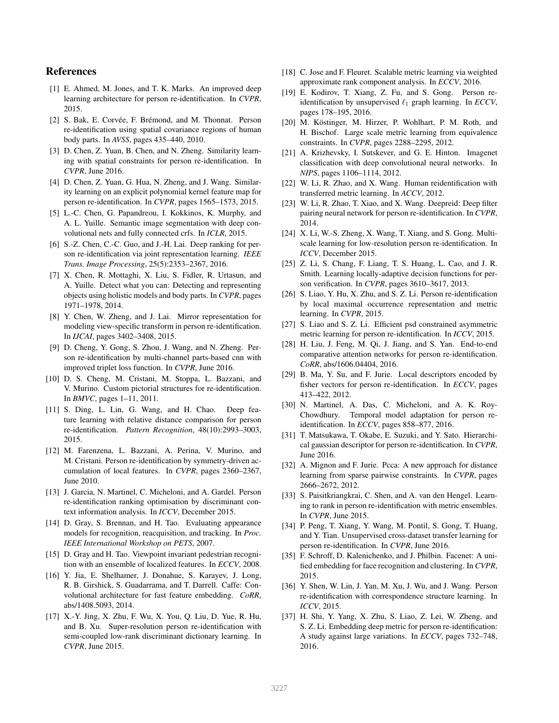# References

- <span id="page-8-7"></span>[1] E. Ahmed, M. Jones, and T. K. Marks. An improved deep learning architecture for person re-identification. In *CVPR*, 2015.
- <span id="page-8-24"></span>[2] S. Bak, E. Corvée, F. Brémond, and M. Thonnat. Person re-identification using spatial covariance regions of human body parts. In *AVSS*, pages 435–440, 2010.
- <span id="page-8-14"></span>[3] D. Chen, Z. Yuan, B. Chen, and N. Zheng. Similarity learning with spatial constraints for person re-identification. In *CVPR*, June 2016.
- <span id="page-8-13"></span>[4] D. Chen, Z. Yuan, G. Hua, N. Zheng, and J. Wang. Similarity learning on an explicit polynomial kernel feature map for person re-identification. In *CVPR*, pages 1565–1573, 2015.
- <span id="page-8-26"></span>[5] L.-C. Chen, G. Papandreou, I. Kokkinos, K. Murphy, and A. L. Yuille. Semantic image segmentation with deep convolutional nets and fully connected crfs. In *ICLR*, 2015.
- <span id="page-8-5"></span>[6] S.-Z. Chen, C.-C. Guo, and J.-H. Lai. Deep ranking for person re-identification via joint representation learning. *IEEE Trans. Image Processing*, 25(5):2353–2367, 2016.
- <span id="page-8-25"></span>[7] X. Chen, R. Mottaghi, X. Liu, S. Fidler, R. Urtasun, and A. Yuille. Detect what you can: Detecting and representing objects using holistic models and body parts. In *CVPR*, pages 1971–1978, 2014.
- <span id="page-8-35"></span>[8] Y. Chen, W. Zheng, and J. Lai. Mirror representation for modeling view-specific transform in person re-identification. In *IJCAI*, pages 3402–3408, 2015.
- <span id="page-8-6"></span>[9] D. Cheng, Y. Gong, S. Zhou, J. Wang, and N. Zheng. Person re-identification by multi-channel parts-based cnn with improved triplet loss function. In *CVPR*, June 2016.
- <span id="page-8-23"></span>[10] D. S. Cheng, M. Cristani, M. Stoppa, L. Bazzani, and V. Murino. Custom pictorial structures for re-identification. In *BMVC*, pages 1–11, 2011.
- <span id="page-8-22"></span>[11] S. Ding, L. Lin, G. Wang, and H. Chao. Deep feature learning with relative distance comparison for person re-identification. *Pattern Recognition*, 48(10):2993–3003, 2015.
- <span id="page-8-0"></span>[12] M. Farenzena, L. Bazzani, A. Perina, V. Murino, and M. Cristani. Person re-identification by symmetry-driven accumulation of local features. In *CVPR*, pages 2360–2367, June 2010.
- <span id="page-8-19"></span>[13] J. Garcia, N. Martinel, C. Micheloni, and A. Gardel. Person re-identification ranking optimisation by discriminant context information analysis. In *ICCV*, December 2015.
- <span id="page-8-31"></span>[14] D. Gray, S. Brennan, and H. Tao. Evaluating appearance models for recognition, reacquisition, and tracking. In *Proc. IEEE International Workshop on PETS*, 2007.
- <span id="page-8-8"></span>[15] D. Gray and H. Tao. Viewpoint invariant pedestrian recognition with an ensemble of localized features. In *ECCV*, 2008.
- <span id="page-8-29"></span>[16] Y. Jia, E. Shelhamer, J. Donahue, S. Karayev, J. Long, R. B. Girshick, S. Guadarrama, and T. Darrell. Caffe: Convolutional architecture for fast feature embedding. *CoRR*, abs/1408.5093, 2014.
- <span id="page-8-17"></span>[17] X.-Y. Jing, X. Zhu, F. Wu, X. You, Q. Liu, D. Yue, R. Hu, and B. Xu. Super-resolution person re-identification with semi-coupled low-rank discriminant dictionary learning. In *CVPR*, June 2015.
- <span id="page-8-34"></span>[18] C. Jose and F. Fleuret. Scalable metric learning via weighted approximate rank component analysis. In *ECCV*, 2016.
- <span id="page-8-12"></span>[19] E. Kodirov, T. Xiang, Z. Fu, and S. Gong. Person reidentification by unsupervised  $\ell_1$  graph learning. In *ECCV*, pages 178–195, 2016.
- <span id="page-8-33"></span>[20] M. Köstinger, M. Hirzer, P. Wohlhart, P. M. Roth, and H. Bischof. Large scale metric learning from equivalence constraints. In *CVPR*, pages 2288–2295, 2012.
- <span id="page-8-32"></span>[21] A. Krizhevsky, I. Sutskever, and G. E. Hinton. Imagenet classification with deep convolutional neural networks. In *NIPS*, pages 1106–1114, 2012.
- <span id="page-8-30"></span>[22] W. Li, R. Zhao, and X. Wang. Human reidentification with transferred metric learning. In *ACCV*, 2012.
- <span id="page-8-2"></span>[23] W. Li, R. Zhao, T. Xiao, and X. Wang. Deepreid: Deep filter pairing neural network for person re-identification. In *CVPR*, 2014.
- <span id="page-8-16"></span>[24] X. Li, W.-S. Zheng, X. Wang, T. Xiang, and S. Gong. Multiscale learning for low-resolution person re-identification. In *ICCV*, December 2015.
- <span id="page-8-36"></span>[25] Z. Li, S. Chang, F. Liang, T. S. Huang, L. Cao, and J. R. Smith. Learning locally-adaptive decision functions for person verification. In *CVPR*, pages 3610–3617, 2013.
- <span id="page-8-3"></span>[26] S. Liao, Y. Hu, X. Zhu, and S. Z. Li. Person re-identification by local maximal occurrence representation and metric learning. In *CVPR*, 2015.
- <span id="page-8-11"></span>[27] S. Liao and S. Z. Li. Efficient psd constrained asymmetric metric learning for person re-identification. In *ICCV*, 2015.
- <span id="page-8-27"></span>[28] H. Liu, J. Feng, M. Qi, J. Jiang, and S. Yan. End-to-end comparative attention networks for person re-identification. *CoRR*, abs/1606.04404, 2016.
- <span id="page-8-9"></span>[29] B. Ma, Y. Su, and F. Jurie. Local descriptors encoded by fisher vectors for person re-identification. In *ECCV*, pages 413–422, 2012.
- <span id="page-8-20"></span>[30] N. Martinel, A. Das, C. Micheloni, and A. K. Roy-Chowdhury. Temporal model adaptation for person reidentification. In *ECCV*, pages 858–877, 2016.
- <span id="page-8-10"></span>[31] T. Matsukawa, T. Okabe, E. Suzuki, and Y. Sato. Hierarchical gaussian descriptor for person re-identification. In *CVPR*, June 2016.
- <span id="page-8-1"></span>[32] A. Mignon and F. Jurie. Pcca: A new approach for distance learning from sparse pairwise constraints. In *CVPR*, pages 2666–2672, 2012.
- <span id="page-8-4"></span>[33] S. Paisitkriangkrai, C. Shen, and A. van den Hengel. Learning to rank in person re-identification with metric ensembles. In *CVPR*, June 2015.
- <span id="page-8-18"></span>[34] P. Peng, T. Xiang, Y. Wang, M. Pontil, S. Gong, T. Huang, and Y. Tian. Unsupervised cross-dataset transfer learning for person re-identification. In *CVPR*, June 2016.
- <span id="page-8-28"></span>[35] F. Schroff, D. Kalenichenko, and J. Philbin. Facenet: A unified embedding for face recognition and clustering. In *CVPR*, 2015.
- <span id="page-8-15"></span>[36] Y. Shen, W. Lin, J. Yan, M. Xu, J. Wu, and J. Wang. Person re-identification with correspondence structure learning. In *ICCV*, 2015.
- <span id="page-8-21"></span>[37] H. Shi, Y. Yang, X. Zhu, S. Liao, Z. Lei, W. Zheng, and S. Z. Li. Embedding deep metric for person re-identification: A study against large variations. In *ECCV*, pages 732–748, 2016.